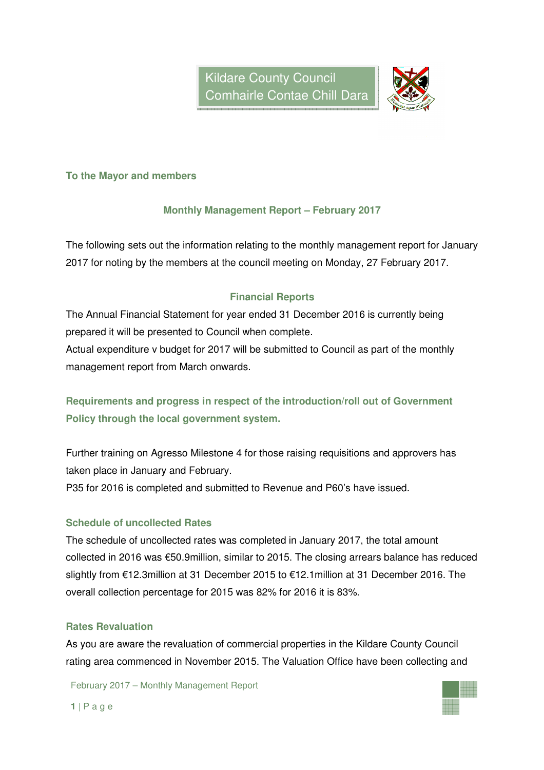

### **To the Mayor and members**

# **Monthly Management Report – February 2017**

The following sets out the information relating to the monthly management report for January 2017 for noting by the members at the council meeting on Monday, 27 February 2017.

# **Financial Reports**

The Annual Financial Statement for year ended 31 December 2016 is currently being prepared it will be presented to Council when complete.

Actual expenditure v budget for 2017 will be submitted to Council as part of the monthly management report from March onwards.

**Requirements and progress in respect of the introduction/roll out of Government Policy through the local government system.** 

Further training on Agresso Milestone 4 for those raising requisitions and approvers has taken place in January and February. P35 for 2016 is completed and submitted to Revenue and P60's have issued.

# **Schedule of uncollected Rates**

The schedule of uncollected rates was completed in January 2017, the total amount collected in 2016 was €50.9million, similar to 2015. The closing arrears balance has reduced slightly from €12.3million at 31 December 2015 to €12.1million at 31 December 2016. The overall collection percentage for 2015 was 82% for 2016 it is 83%.

### **Rates Revaluation**

As you are aware the revaluation of commercial properties in the Kildare County Council rating area commenced in November 2015. The Valuation Office have been collecting and

February 2017 – Monthly Management Report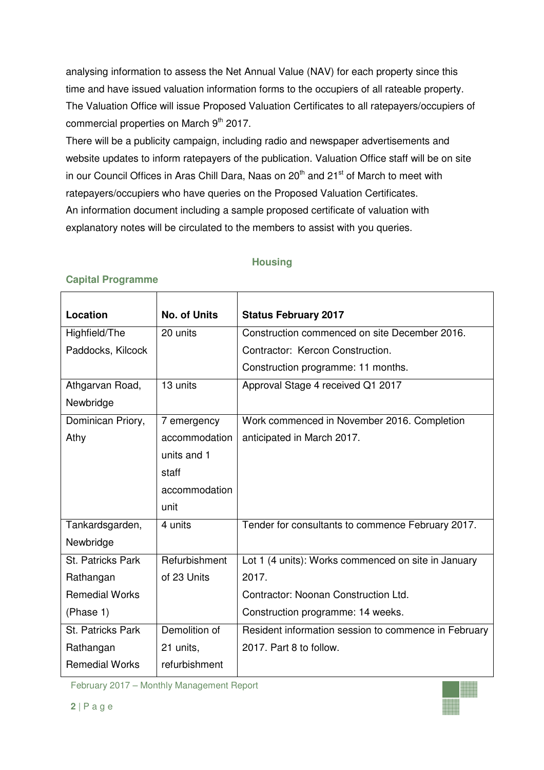analysing information to assess the Net Annual Value (NAV) for each property since this time and have issued valuation information forms to the occupiers of all rateable property. The Valuation Office will issue Proposed Valuation Certificates to all ratepayers/occupiers of commercial properties on March 9<sup>th</sup> 2017.

There will be a publicity campaign, including radio and newspaper advertisements and website updates to inform ratepayers of the publication. Valuation Office staff will be on site in our Council Offices in Aras Chill Dara, Naas on  $20<sup>th</sup>$  and  $21<sup>st</sup>$  of March to meet with ratepayers/occupiers who have queries on the Proposed Valuation Certificates. An information document including a sample proposed certificate of valuation with explanatory notes will be circulated to the members to assist with you queries.

# **Housing**

| Location              | <b>No. of Units</b> | <b>Status February 2017</b>                          |
|-----------------------|---------------------|------------------------------------------------------|
| Highfield/The         | 20 units            | Construction commenced on site December 2016.        |
| Paddocks, Kilcock     |                     | Contractor: Kercon Construction.                     |
|                       |                     | Construction programme: 11 months.                   |
| Athgarvan Road,       | 13 units            | Approval Stage 4 received Q1 2017                    |
| Newbridge             |                     |                                                      |
| Dominican Priory,     | 7 emergency         | Work commenced in November 2016. Completion          |
| Athy                  | accommodation       | anticipated in March 2017.                           |
|                       | units and 1         |                                                      |
|                       | staff               |                                                      |
|                       | accommodation       |                                                      |
|                       | unit                |                                                      |
| Tankardsgarden,       | 4 units             | Tender for consultants to commence February 2017.    |
| Newbridge             |                     |                                                      |
| St. Patricks Park     | Refurbishment       | Lot 1 (4 units): Works commenced on site in January  |
| Rathangan             | of 23 Units         | 2017.                                                |
| <b>Remedial Works</b> |                     | Contractor: Noonan Construction Ltd.                 |
| (Phase 1)             |                     | Construction programme: 14 weeks.                    |
| St. Patricks Park     | Demolition of       | Resident information session to commence in February |
| Rathangan             | 21 units,           | 2017. Part 8 to follow.                              |
| <b>Remedial Works</b> | refurbishment       |                                                      |

### **Capital Programme**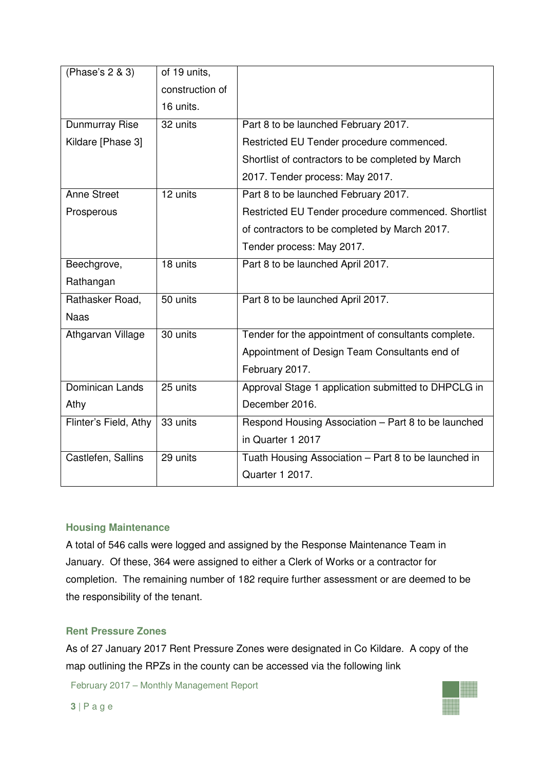| (Phase's 2 & 3)       | of 19 units,    |                                                      |  |
|-----------------------|-----------------|------------------------------------------------------|--|
|                       | construction of |                                                      |  |
|                       | 16 units.       |                                                      |  |
| Dunmurray Rise        | 32 units        | Part 8 to be launched February 2017.                 |  |
| Kildare [Phase 3]     |                 | Restricted EU Tender procedure commenced.            |  |
|                       |                 | Shortlist of contractors to be completed by March    |  |
|                       |                 | 2017. Tender process: May 2017.                      |  |
| <b>Anne Street</b>    | 12 units        | Part 8 to be launched February 2017.                 |  |
| Prosperous            |                 | Restricted EU Tender procedure commenced. Shortlist  |  |
|                       |                 | of contractors to be completed by March 2017.        |  |
|                       |                 | Tender process: May 2017.                            |  |
| Beechgrove,           | 18 units        | Part 8 to be launched April 2017.                    |  |
| Rathangan             |                 |                                                      |  |
| Rathasker Road,       | 50 units        | Part 8 to be launched April 2017.                    |  |
| <b>Naas</b>           |                 |                                                      |  |
| Athgarvan Village     | 30 units        | Tender for the appointment of consultants complete.  |  |
|                       |                 | Appointment of Design Team Consultants end of        |  |
|                       |                 | February 2017.                                       |  |
| Dominican Lands       | 25 units        | Approval Stage 1 application submitted to DHPCLG in  |  |
| Athy                  |                 | December 2016.                                       |  |
| Flinter's Field, Athy | 33 units        | Respond Housing Association - Part 8 to be launched  |  |
|                       |                 | in Quarter 1 2017                                    |  |
| Castlefen, Sallins    | 29 units        | Tuath Housing Association - Part 8 to be launched in |  |
|                       |                 | Quarter 1 2017.                                      |  |

### **Housing Maintenance**

A total of 546 calls were logged and assigned by the Response Maintenance Team in January. Of these, 364 were assigned to either a Clerk of Works or a contractor for completion. The remaining number of 182 require further assessment or are deemed to be the responsibility of the tenant.

### **Rent Pressure Zones**

As of 27 January 2017 Rent Pressure Zones were designated in Co Kildare. A copy of the map outlining the RPZs in the county can be accessed via the following link

February 2017 – Monthly Management Report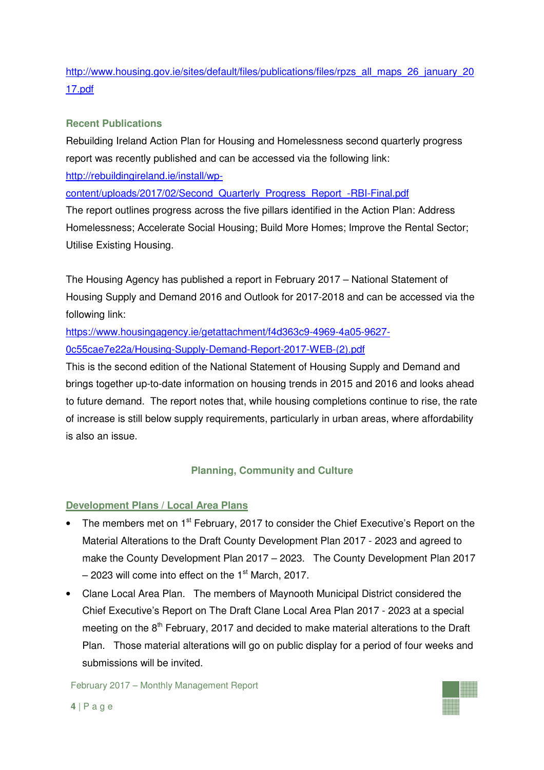# http://www.housing.gov.ie/sites/default/files/publications/files/rpzs\_all\_maps\_26\_january\_20 17.pdf

# **Recent Publications**

Rebuilding Ireland Action Plan for Housing and Homelessness second quarterly progress report was recently published and can be accessed via the following link:

http://rebuildingireland.ie/install/wp-

content/uploads/2017/02/Second\_Quarterly\_Progress\_Report\_-RBI-Final.pdf

The report outlines progress across the five pillars identified in the Action Plan: Address Homelessness; Accelerate Social Housing; Build More Homes; Improve the Rental Sector; Utilise Existing Housing.

The Housing Agency has published a report in February 2017 – National Statement of Housing Supply and Demand 2016 and Outlook for 2017-2018 and can be accessed via the following link:

https://www.housingagency.ie/getattachment/f4d363c9-4969-4a05-9627- 0c55cae7e22a/Housing-Supply-Demand-Report-2017-WEB-(2).pdf

This is the second edition of the National Statement of Housing Supply and Demand and brings together up-to-date information on housing trends in 2015 and 2016 and looks ahead to future demand. The report notes that, while housing completions continue to rise, the rate of increase is still below supply requirements, particularly in urban areas, where affordability is also an issue.

# **Planning, Community and Culture**

# **Development Plans / Local Area Plans**

- The members met on 1<sup>st</sup> February, 2017 to consider the Chief Executive's Report on the Material Alterations to the Draft County Development Plan 2017 - 2023 and agreed to make the County Development Plan 2017 – 2023. The County Development Plan 2017  $-$  2023 will come into effect on the 1<sup>st</sup> March, 2017.
- Clane Local Area Plan. The members of Maynooth Municipal District considered the Chief Executive's Report on The Draft Clane Local Area Plan 2017 - 2023 at a special meeting on the 8<sup>th</sup> February, 2017 and decided to make material alterations to the Draft Plan. Those material alterations will go on public display for a period of four weeks and submissions will be invited.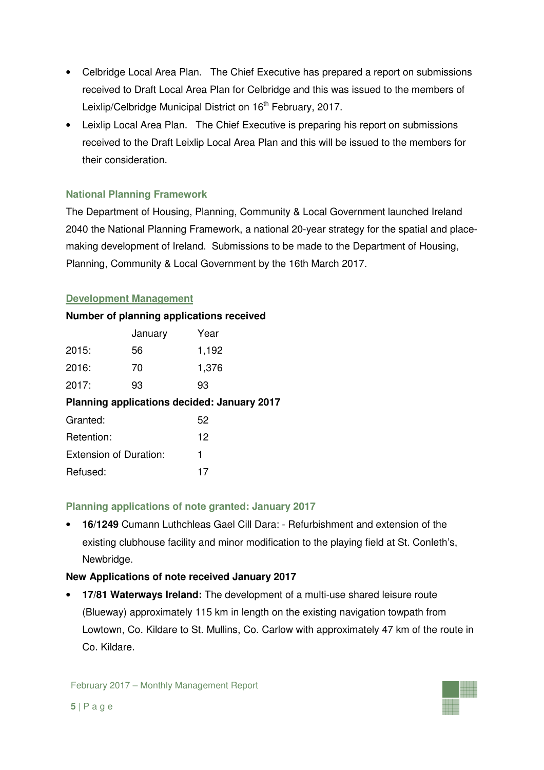- Celbridge Local Area Plan. The Chief Executive has prepared a report on submissions received to Draft Local Area Plan for Celbridge and this was issued to the members of Leixlip/Celbridge Municipal District on 16<sup>th</sup> February, 2017.
- Leixlip Local Area Plan. The Chief Executive is preparing his report on submissions received to the Draft Leixlip Local Area Plan and this will be issued to the members for their consideration.

# **National Planning Framework**

The Department of Housing, Planning, Community & Local Government launched Ireland 2040 the National Planning Framework, a national 20-year strategy for the spatial and placemaking development of Ireland. Submissions to be made to the Department of Housing, Planning, Community & Local Government by the 16th March 2017.

# **Development Management**

### **Number of planning applications received**

|                                             | January | Year  |  |  |  |
|---------------------------------------------|---------|-------|--|--|--|
| 2015:                                       | 56      | 1,192 |  |  |  |
| 2016:                                       | 70      | 1,376 |  |  |  |
| 2017:                                       | 93      | 93    |  |  |  |
| Planning applications decided: January 2017 |         |       |  |  |  |
| Granted:                                    |         | 52    |  |  |  |
| Retention:                                  |         | 12    |  |  |  |
| <b>Extension of Duration:</b>               |         | 1     |  |  |  |
| Refused:                                    |         | 17    |  |  |  |

# **Planning applications of note granted: January 2017**

• **16/1249** Cumann Luthchleas Gael Cill Dara: - Refurbishment and extension of the existing clubhouse facility and minor modification to the playing field at St. Conleth's, Newbridge.

# **New Applications of note received January 2017**

• **17/81 Waterways Ireland:** The development of a multi-use shared leisure route (Blueway) approximately 115 km in length on the existing navigation towpath from Lowtown, Co. Kildare to St. Mullins, Co. Carlow with approximately 47 km of the route in Co. Kildare.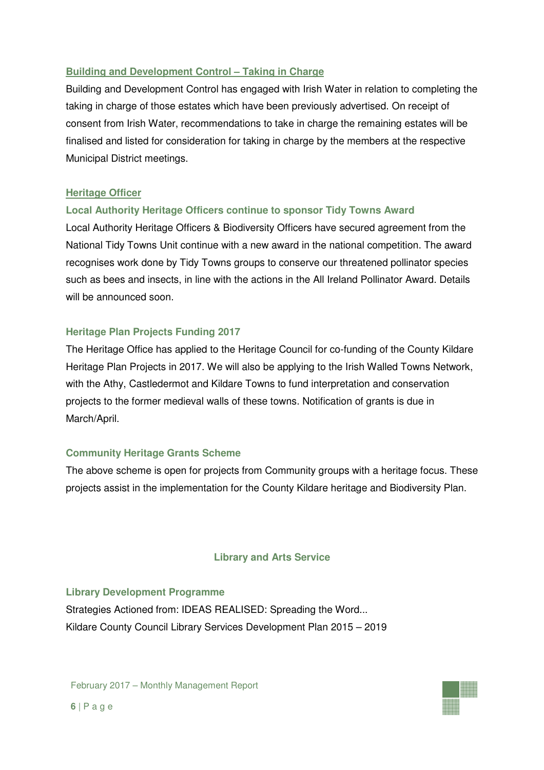# **Building and Development Control – Taking in Charge**

Building and Development Control has engaged with Irish Water in relation to completing the taking in charge of those estates which have been previously advertised. On receipt of consent from Irish Water, recommendations to take in charge the remaining estates will be finalised and listed for consideration for taking in charge by the members at the respective Municipal District meetings.

### **Heritage Officer**

# **Local Authority Heritage Officers continue to sponsor Tidy Towns Award**

Local Authority Heritage Officers & Biodiversity Officers have secured agreement from the National Tidy Towns Unit continue with a new award in the national competition. The award recognises work done by Tidy Towns groups to conserve our threatened pollinator species such as bees and insects, in line with the actions in the All Ireland Pollinator Award. Details will be announced soon.

# **Heritage Plan Projects Funding 2017**

The Heritage Office has applied to the Heritage Council for co-funding of the County Kildare Heritage Plan Projects in 2017. We will also be applying to the Irish Walled Towns Network, with the Athy, Castledermot and Kildare Towns to fund interpretation and conservation projects to the former medieval walls of these towns. Notification of grants is due in March/April.

# **Community Heritage Grants Scheme**

The above scheme is open for projects from Community groups with a heritage focus. These projects assist in the implementation for the County Kildare heritage and Biodiversity Plan.

### **Library and Arts Service**

### **Library Development Programme**

Strategies Actioned from: IDEAS REALISED: Spreading the Word... Kildare County Council Library Services Development Plan 2015 – 2019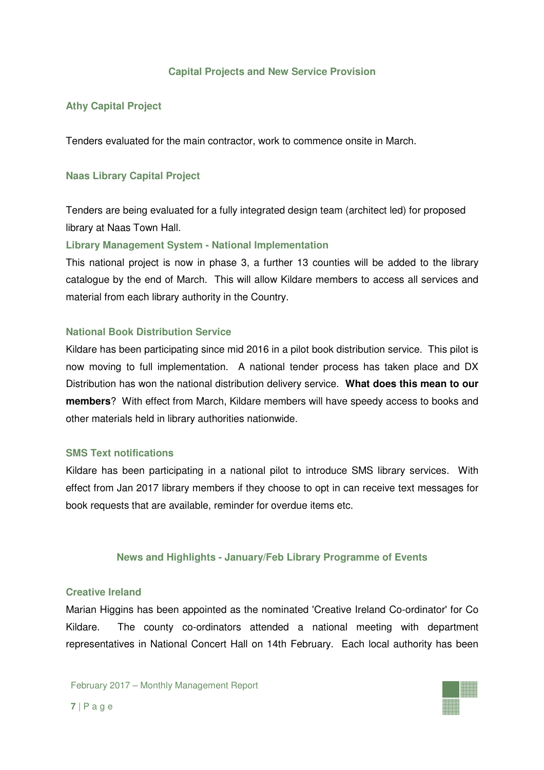### **Capital Projects and New Service Provision**

### **Athy Capital Project**

Tenders evaluated for the main contractor, work to commence onsite in March.

### **Naas Library Capital Project**

Tenders are being evaluated for a fully integrated design team (architect led) for proposed library at Naas Town Hall.

### **Library Management System - National Implementation**

This national project is now in phase 3, a further 13 counties will be added to the library catalogue by the end of March. This will allow Kildare members to access all services and material from each library authority in the Country.

### **National Book Distribution Service**

Kildare has been participating since mid 2016 in a pilot book distribution service. This pilot is now moving to full implementation. A national tender process has taken place and DX Distribution has won the national distribution delivery service. **What does this mean to our members**? With effect from March, Kildare members will have speedy access to books and other materials held in library authorities nationwide.

### **SMS Text notifications**

Kildare has been participating in a national pilot to introduce SMS library services. With effect from Jan 2017 library members if they choose to opt in can receive text messages for book requests that are available, reminder for overdue items etc.

### **News and Highlights - January/Feb Library Programme of Events**

#### **Creative Ireland**

Marian Higgins has been appointed as the nominated 'Creative Ireland Co-ordinator' for Co Kildare. The county co-ordinators attended a national meeting with department representatives in National Concert Hall on 14th February. Each local authority has been

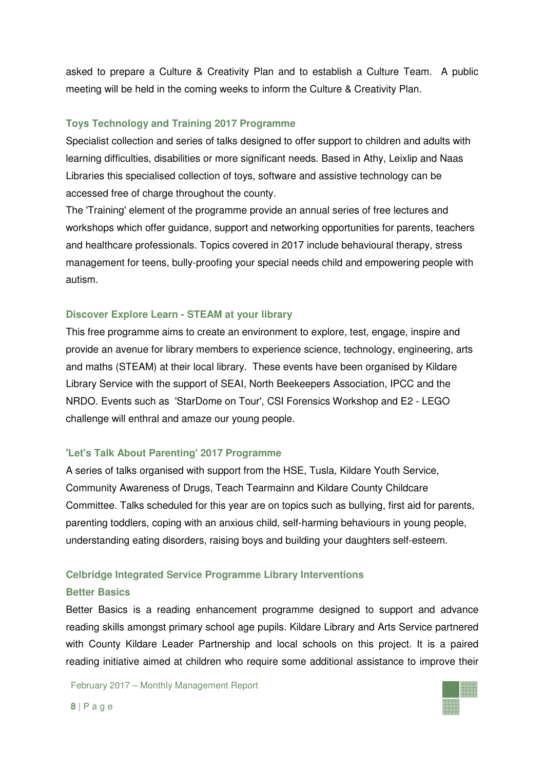asked to prepare a Culture & Creativity Plan and to establish a Culture Team. A public meeting will be held in the coming weeks to inform the Culture & Creativity Plan.

### **Toys Technology and Training 2017 Programme**

Specialist collection and series of talks designed to offer support to children and adults with learning difficulties, disabilities or more significant needs. Based in Athy, Leixlip and Naas Libraries this specialised collection of toys, software and assistive technology can be accessed free of charge throughout the county.

The 'Training' element of the programme provide an annual series of free lectures and workshops which offer guidance, support and networking opportunities for parents, teachers and healthcare professionals. Topics covered in 2017 include behavioural therapy, stress management for teens, bully-proofing your special needs child and empowering people with autism.

#### **Discover Explore Learn - STEAM at your library**

This free programme aims to create an environment to explore, test, engage, inspire and provide an avenue for library members to experience science, technology, engineering, arts and maths (STEAM) at their local library. These events have been organised by Kildare Library Service with the support of SEAI, North Beekeepers Association, IPCC and the NRDO. Events such as 'StarDome on Tour', CSI Forensics Workshop and E2 - LEGO challenge will enthral and amaze our young people.

#### **'Let's Talk About Parenting' 2017 Programme**

A series of talks organised with support from the HSE, Tusla, Kildare Youth Service, Community Awareness of Drugs, Teach Tearmainn and Kildare County Childcare Committee. Talks scheduled for this year are on topics such as bullying, first aid for parents, parenting toddlers, coping with an anxious child, self-harming behaviours in young people, understanding eating disorders, raising boys and building your daughters self-esteem.

#### **Celbridge Integrated Service Programme Library Interventions**

#### **Better Basics**

Better Basics is a reading enhancement programme designed to support and advance reading skills amongst primary school age pupils. Kildare Library and Arts Service partnered with County Kildare Leader Partnership and local schools on this project. It is a paired reading initiative aimed at children who require some additional assistance to improve their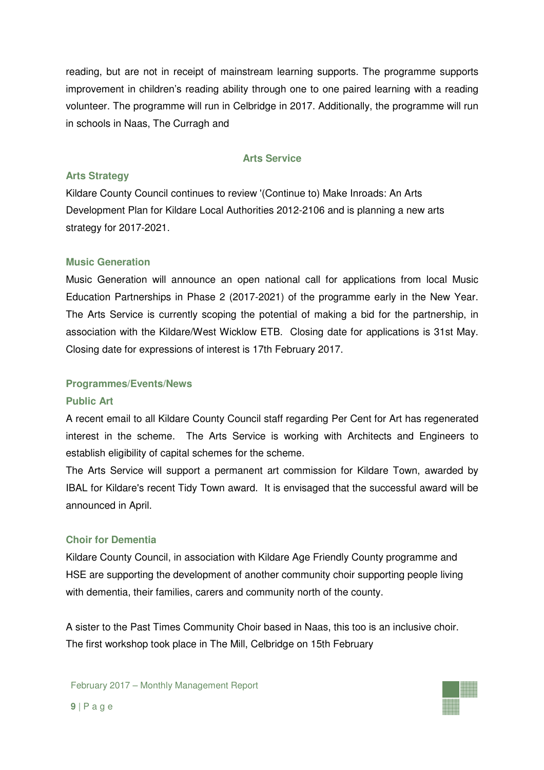reading, but are not in receipt of mainstream learning supports. The programme supports improvement in children's reading ability through one to one paired learning with a reading volunteer. The programme will run in Celbridge in 2017. Additionally, the programme will run in schools in Naas, The Curragh and

### **Arts Service**

#### **Arts Strategy**

Kildare County Council continues to review '(Continue to) Make Inroads: An Arts Development Plan for Kildare Local Authorities 2012-2106 and is planning a new arts strategy for 2017-2021.

### **Music Generation**

Music Generation will announce an open national call for applications from local Music Education Partnerships in Phase 2 (2017-2021) of the programme early in the New Year. The Arts Service is currently scoping the potential of making a bid for the partnership, in association with the Kildare/West Wicklow ETB. Closing date for applications is 31st May. Closing date for expressions of interest is 17th February 2017.

#### **Programmes/Events/News**

#### **Public Art**

A recent email to all Kildare County Council staff regarding Per Cent for Art has regenerated interest in the scheme. The Arts Service is working with Architects and Engineers to establish eligibility of capital schemes for the scheme.

The Arts Service will support a permanent art commission for Kildare Town, awarded by IBAL for Kildare's recent Tidy Town award. It is envisaged that the successful award will be announced in April.

#### **Choir for Dementia**

Kildare County Council, in association with Kildare Age Friendly County programme and HSE are supporting the development of another community choir supporting people living with dementia, their families, carers and community north of the county.

A sister to the Past Times Community Choir based in Naas, this too is an inclusive choir. The first workshop took place in The Mill, Celbridge on 15th February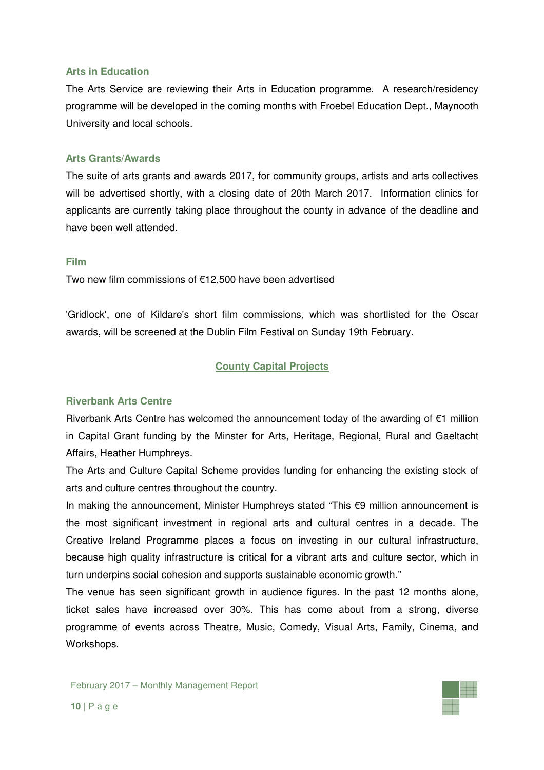#### **Arts in Education**

The Arts Service are reviewing their Arts in Education programme. A research/residency programme will be developed in the coming months with Froebel Education Dept., Maynooth University and local schools.

#### **Arts Grants/Awards**

The suite of arts grants and awards 2017, for community groups, artists and arts collectives will be advertised shortly, with a closing date of 20th March 2017. Information clinics for applicants are currently taking place throughout the county in advance of the deadline and have been well attended.

#### **Film**

Two new film commissions of €12,500 have been advertised

'Gridlock', one of Kildare's short film commissions, which was shortlisted for the Oscar awards, will be screened at the Dublin Film Festival on Sunday 19th February.

### **County Capital Projects**

#### **Riverbank Arts Centre**

Riverbank Arts Centre has welcomed the announcement today of the awarding of €1 million in Capital Grant funding by the Minster for Arts, Heritage, Regional, Rural and Gaeltacht Affairs, Heather Humphreys.

The Arts and Culture Capital Scheme provides funding for enhancing the existing stock of arts and culture centres throughout the country.

In making the announcement, Minister Humphreys stated "This €9 million announcement is the most significant investment in regional arts and cultural centres in a decade. The Creative Ireland Programme places a focus on investing in our cultural infrastructure, because high quality infrastructure is critical for a vibrant arts and culture sector, which in turn underpins social cohesion and supports sustainable economic growth."

The venue has seen significant growth in audience figures. In the past 12 months alone, ticket sales have increased over 30%. This has come about from a strong, diverse programme of events across Theatre, Music, Comedy, Visual Arts, Family, Cinema, and Workshops.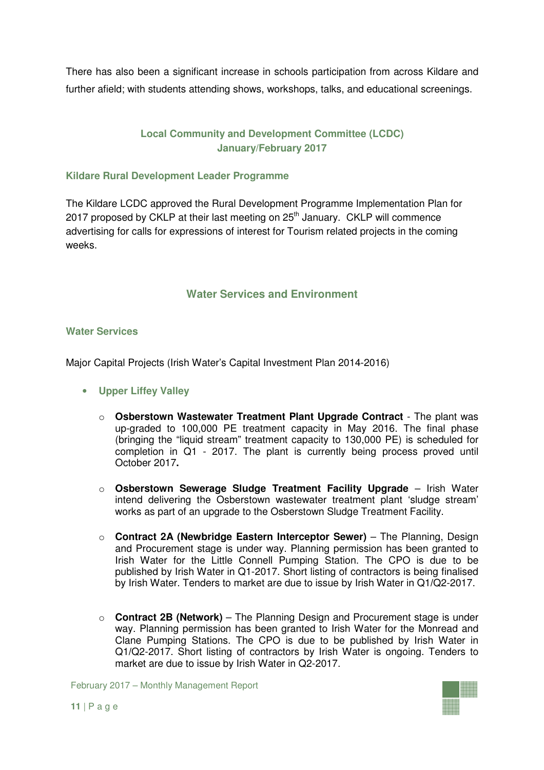There has also been a significant increase in schools participation from across Kildare and further afield; with students attending shows, workshops, talks, and educational screenings.

# **Local Community and Development Committee (LCDC) January/February 2017**

### **Kildare Rural Development Leader Programme**

The Kildare LCDC approved the Rural Development Programme Implementation Plan for 2017 proposed by CKLP at their last meeting on  $25<sup>th</sup>$  January. CKLP will commence advertising for calls for expressions of interest for Tourism related projects in the coming weeks.

# **Water Services and Environment**

### **Water Services**

Major Capital Projects (Irish Water's Capital Investment Plan 2014-2016)

- **Upper Liffey Valley** 
	- o **Osberstown Wastewater Treatment Plant Upgrade Contract** The plant was up-graded to 100,000 PE treatment capacity in May 2016. The final phase (bringing the "liquid stream" treatment capacity to 130,000 PE) is scheduled for completion in Q1 - 2017. The plant is currently being process proved until October 2017**.**
	- o **Osberstown Sewerage Sludge Treatment Facility Upgrade** Irish Water intend delivering the Osberstown wastewater treatment plant 'sludge stream' works as part of an upgrade to the Osberstown Sludge Treatment Facility.
	- o **Contract 2A (Newbridge Eastern Interceptor Sewer)** The Planning, Design and Procurement stage is under way. Planning permission has been granted to Irish Water for the Little Connell Pumping Station. The CPO is due to be published by Irish Water in Q1-2017. Short listing of contractors is being finalised by Irish Water. Tenders to market are due to issue by Irish Water in Q1**/**Q2-2017.
	- o **Contract 2B (Network)** The Planning Design and Procurement stage is under way. Planning permission has been granted to Irish Water for the Monread and Clane Pumping Stations. The CPO is due to be published by Irish Water in Q1**/**Q2-2017. Short listing of contractors by Irish Water is ongoing. Tenders to market are due to issue by Irish Water in Q2-2017.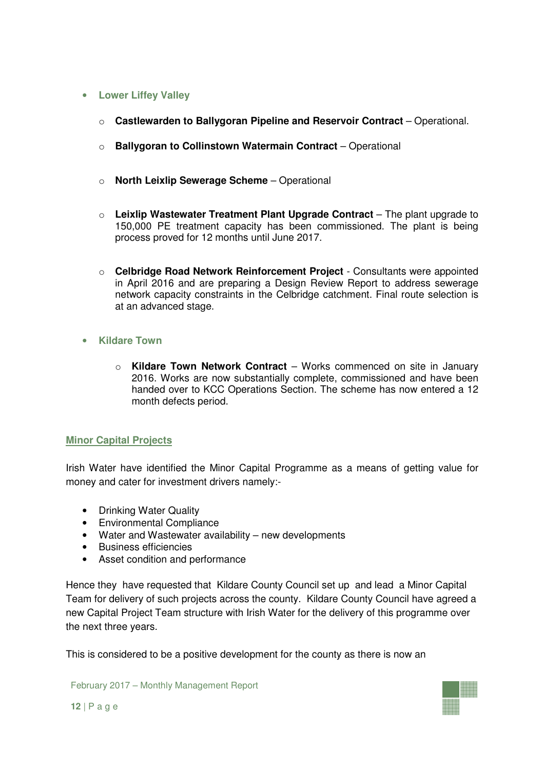### • **Lower Liffey Valley**

- o **Castlewarden to Ballygoran Pipeline and Reservoir Contract** Operational.
- o **Ballygoran to Collinstown Watermain Contract** Operational
- o **North Leixlip Sewerage Scheme** Operational
- o **Leixlip Wastewater Treatment Plant Upgrade Contract** The plant upgrade to 150,000 PE treatment capacity has been commissioned. The plant is being process proved for 12 months until June 2017.
- o **Celbridge Road Network Reinforcement Project**  Consultants were appointed in April 2016 and are preparing a Design Review Report to address sewerage network capacity constraints in the Celbridge catchment. Final route selection is at an advanced stage.
- **Kildare Town** 
	- o **Kildare Town Network Contract** Works commenced on site in January 2016. Works are now substantially complete, commissioned and have been handed over to KCC Operations Section. The scheme has now entered a 12 month defects period.

# **Minor Capital Projects**

Irish Water have identified the Minor Capital Programme as a means of getting value for money and cater for investment drivers namely:-

- Drinking Water Quality
- Environmental Compliance
- Water and Wastewater availability new developments
- Business efficiencies
- Asset condition and performance

Hence they have requested that Kildare County Council set up and lead a Minor Capital Team for delivery of such projects across the county. Kildare County Council have agreed a new Capital Project Team structure with Irish Water for the delivery of this programme over the next three years.

This is considered to be a positive development for the county as there is now an

February 2017 – Monthly Management Report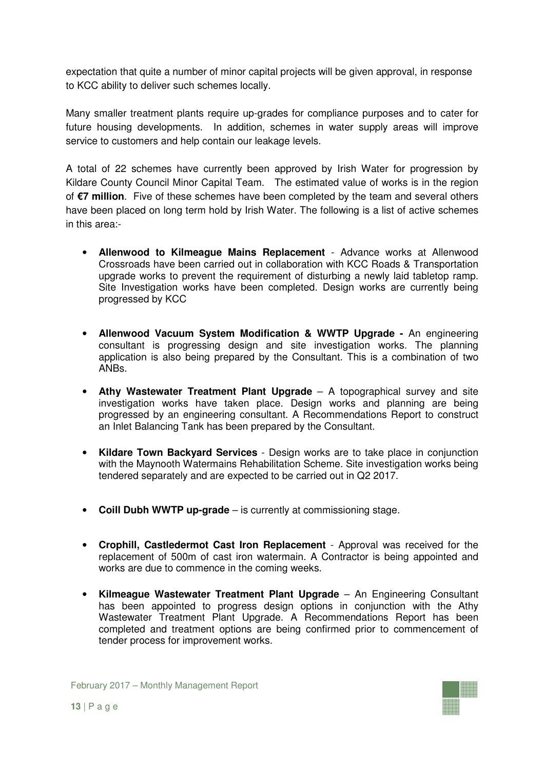expectation that quite a number of minor capital projects will be given approval, in response to KCC ability to deliver such schemes locally.

Many smaller treatment plants require up-grades for compliance purposes and to cater for future housing developments. In addition, schemes in water supply areas will improve service to customers and help contain our leakage levels.

A total of 22 schemes have currently been approved by Irish Water for progression by Kildare County Council Minor Capital Team. The estimated value of works is in the region of **€7 million**. Five of these schemes have been completed by the team and several others have been placed on long term hold by Irish Water. The following is a list of active schemes in this area:-

- **Allenwood to Kilmeague Mains Replacement** Advance works at Allenwood Crossroads have been carried out in collaboration with KCC Roads & Transportation upgrade works to prevent the requirement of disturbing a newly laid tabletop ramp. Site Investigation works have been completed. Design works are currently being progressed by KCC
- **Allenwood Vacuum System Modification & WWTP Upgrade** An engineering consultant is progressing design and site investigation works. The planning application is also being prepared by the Consultant. This is a combination of two ANBs.
- **Athy Wastewater Treatment Plant Upgrade** A topographical survey and site investigation works have taken place. Design works and planning are being progressed by an engineering consultant. A Recommendations Report to construct an Inlet Balancing Tank has been prepared by the Consultant.
- **Kildare Town Backyard Services** Design works are to take place in conjunction with the Maynooth Watermains Rehabilitation Scheme. Site investigation works being tendered separately and are expected to be carried out in Q2 2017.
- **Coill Dubh WWTP up-grade** is currently at commissioning stage.
- **Crophill, Castledermot Cast Iron Replacement**  Approval was received for the replacement of 500m of cast iron watermain. A Contractor is being appointed and works are due to commence in the coming weeks.
- **Kilmeague Wastewater Treatment Plant Upgrade** An Engineering Consultant has been appointed to progress design options in conjunction with the Athy Wastewater Treatment Plant Upgrade. A Recommendations Report has been completed and treatment options are being confirmed prior to commencement of tender process for improvement works.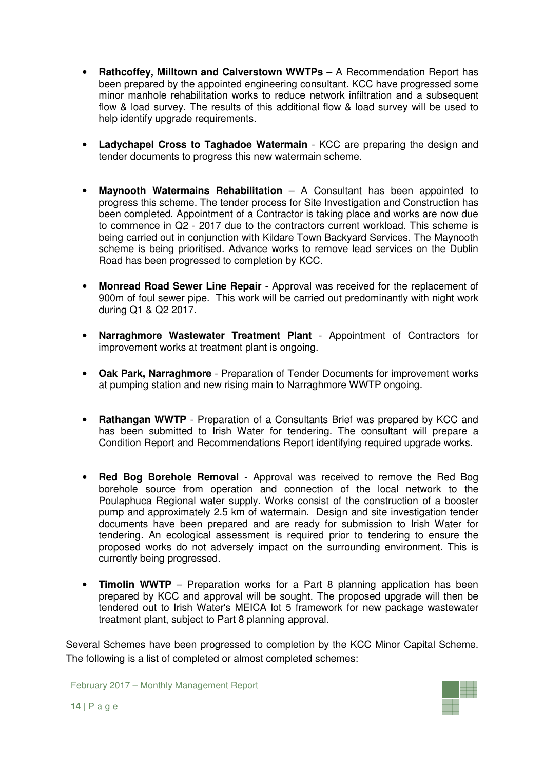- **Rathcoffey, Milltown and Calverstown WWTPs** A Recommendation Report has been prepared by the appointed engineering consultant. KCC have progressed some minor manhole rehabilitation works to reduce network infiltration and a subsequent flow & load survey. The results of this additional flow & load survey will be used to help identify upgrade requirements.
- **Ladychapel Cross to Taghadoe Watermain** KCC are preparing the design and tender documents to progress this new watermain scheme.
- **Maynooth Watermains Rehabilitation** A Consultant has been appointed to progress this scheme. The tender process for Site Investigation and Construction has been completed. Appointment of a Contractor is taking place and works are now due to commence in Q2 - 2017 due to the contractors current workload. This scheme is being carried out in conjunction with Kildare Town Backyard Services. The Maynooth scheme is being prioritised. Advance works to remove lead services on the Dublin Road has been progressed to completion by KCC.
- **Monread Road Sewer Line Repair**  Approval was received for the replacement of 900m of foul sewer pipe. This work will be carried out predominantly with night work during Q1 & Q2 2017.
- **Narraghmore Wastewater Treatment Plant**  Appointment of Contractors for improvement works at treatment plant is ongoing.
- **Oak Park, Narraghmore**  Preparation of Tender Documents for improvement works at pumping station and new rising main to Narraghmore WWTP ongoing.
- **Rathangan WWTP** Preparation of a Consultants Brief was prepared by KCC and has been submitted to Irish Water for tendering. The consultant will prepare a Condition Report and Recommendations Report identifying required upgrade works.
- **Red Bog Borehole Removal**  Approval was received to remove the Red Bog borehole source from operation and connection of the local network to the Poulaphuca Regional water supply. Works consist of the construction of a booster pump and approximately 2.5 km of watermain. Design and site investigation tender documents have been prepared and are ready for submission to Irish Water for tendering. An ecological assessment is required prior to tendering to ensure the proposed works do not adversely impact on the surrounding environment. This is currently being progressed.
- **Timolin WWTP** Preparation works for a Part 8 planning application has been prepared by KCC and approval will be sought. The proposed upgrade will then be tendered out to Irish Water's MEICA lot 5 framework for new package wastewater treatment plant, subject to Part 8 planning approval.

Several Schemes have been progressed to completion by the KCC Minor Capital Scheme. The following is a list of completed or almost completed schemes: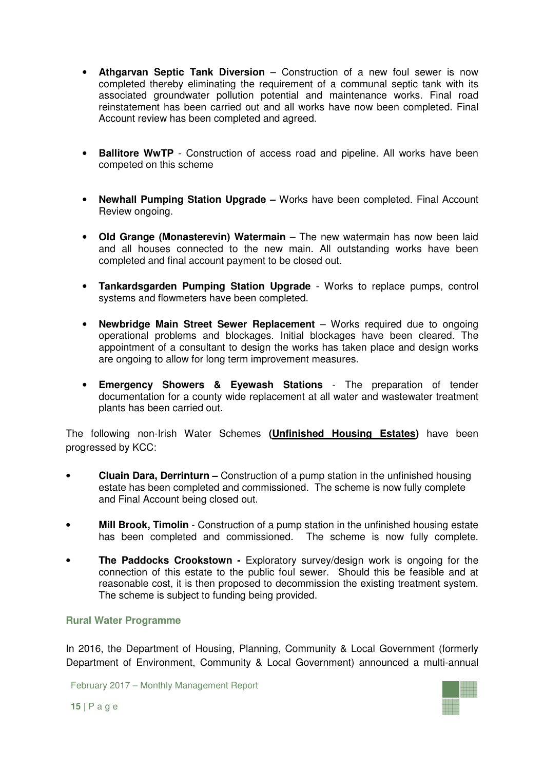- **Athgarvan Septic Tank Diversion** Construction of a new foul sewer is now completed thereby eliminating the requirement of a communal septic tank with its associated groundwater pollution potential and maintenance works. Final road reinstatement has been carried out and all works have now been completed. Final Account review has been completed and agreed.
- **Ballitore WwTP** Construction of access road and pipeline. All works have been competed on this scheme
- **Newhall Pumping Station Upgrade** Works have been completed. Final Account Review ongoing.
- **Old Grange (Monasterevin) Watermain** The new watermain has now been laid and all houses connected to the new main. All outstanding works have been completed and final account payment to be closed out.
- **Tankardsgarden Pumping Station Upgrade** Works to replace pumps, control systems and flowmeters have been completed.
- **Newbridge Main Street Sewer Replacement** Works required due to ongoing operational problems and blockages. Initial blockages have been cleared. The appointment of a consultant to design the works has taken place and design works are ongoing to allow for long term improvement measures.
- **Emergency Showers & Eyewash Stations** The preparation of tender documentation for a county wide replacement at all water and wastewater treatment plants has been carried out.

The following non-Irish Water Schemes **(Unfinished Housing Estates)** have been progressed by KCC:

- **Cluain Dara, Derrinturn** Construction of a pump station in the unfinished housing estate has been completed and commissioned. The scheme is now fully complete and Final Account being closed out.
- **Mill Brook, Timolin** Construction of a pump station in the unfinished housing estate has been completed and commissioned. The scheme is now fully complete.
- **The Paddocks Crookstown -** Exploratory survey/design work is ongoing for the connection of this estate to the public foul sewer. Should this be feasible and at reasonable cost, it is then proposed to decommission the existing treatment system. The scheme is subject to funding being provided.

### **Rural Water Programme**

In 2016, the Department of Housing, Planning, Community & Local Government (formerly Department of Environment, Community & Local Government) announced a multi-annual

February 2017 – Monthly Management Report

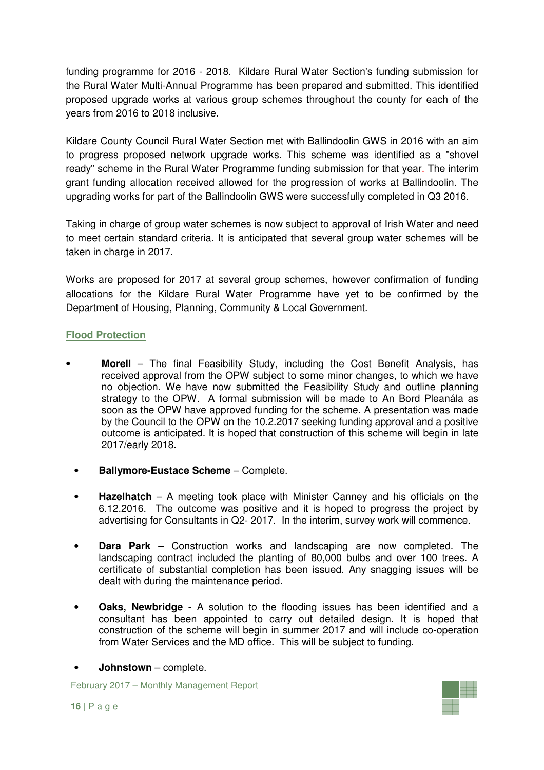funding programme for 2016 - 2018. Kildare Rural Water Section's funding submission for the Rural Water Multi-Annual Programme has been prepared and submitted. This identified proposed upgrade works at various group schemes throughout the county for each of the years from 2016 to 2018 inclusive.

Kildare County Council Rural Water Section met with Ballindoolin GWS in 2016 with an aim to progress proposed network upgrade works. This scheme was identified as a "shovel ready" scheme in the Rural Water Programme funding submission for that year. The interim grant funding allocation received allowed for the progression of works at Ballindoolin. The upgrading works for part of the Ballindoolin GWS were successfully completed in Q3 2016.

Taking in charge of group water schemes is now subject to approval of Irish Water and need to meet certain standard criteria. It is anticipated that several group water schemes will be taken in charge in 2017.

Works are proposed for 2017 at several group schemes, however confirmation of funding allocations for the Kildare Rural Water Programme have yet to be confirmed by the Department of Housing, Planning, Community & Local Government.

# **Flood Protection**

- **Morell** The final Feasibility Study, including the Cost Benefit Analysis, has received approval from the OPW subject to some minor changes, to which we have no objection. We have now submitted the Feasibility Study and outline planning strategy to the OPW. A formal submission will be made to An Bord Pleanála as soon as the OPW have approved funding for the scheme. A presentation was made by the Council to the OPW on the 10.2.2017 seeking funding approval and a positive outcome is anticipated. It is hoped that construction of this scheme will begin in late 2017/early 2018.
- **Ballymore-Eustace Scheme** Complete.
- **Hazelhatch** A meeting took place with Minister Canney and his officials on the 6.12.2016. The outcome was positive and it is hoped to progress the project by advertising for Consultants in Q2- 2017. In the interim, survey work will commence.
- **Dara Park** Construction works and landscaping are now completed. The landscaping contract included the planting of 80,000 bulbs and over 100 trees. A certificate of substantial completion has been issued. Any snagging issues will be dealt with during the maintenance period.
- **Oaks, Newbridge** A solution to the flooding issues has been identified and a consultant has been appointed to carry out detailed design. It is hoped that construction of the scheme will begin in summer 2017 and will include co-operation from Water Services and the MD office. This will be subject to funding.
- **Johnstown**  complete.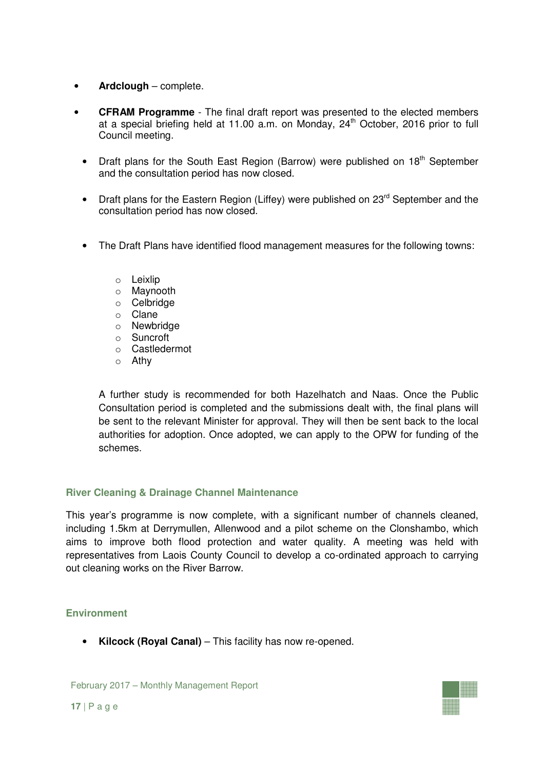- **Ardclough** complete.
- **CFRAM Programme** The final draft report was presented to the elected members at a special briefing held at 11.00 a.m. on Monday,  $24<sup>th</sup>$  October, 2016 prior to full Council meeting.
	- Draft plans for the South East Region (Barrow) were published on  $18<sup>th</sup>$  September and the consultation period has now closed.
	- Draft plans for the Eastern Region (Liffey) were published on 23<sup>rd</sup> September and the consultation period has now closed.
	- The Draft Plans have identified flood management measures for the following towns:
		- o Leixlip
		- o Maynooth
		- o Celbridge
		- o Clane
		- o Newbridge
		- o Suncroft
		- o Castledermot
		- o Athy

A further study is recommended for both Hazelhatch and Naas. Once the Public Consultation period is completed and the submissions dealt with, the final plans will be sent to the relevant Minister for approval. They will then be sent back to the local authorities for adoption. Once adopted, we can apply to the OPW for funding of the schemes.

# **River Cleaning & Drainage Channel Maintenance**

This year's programme is now complete, with a significant number of channels cleaned, including 1.5km at Derrymullen, Allenwood and a pilot scheme on the Clonshambo, which aims to improve both flood protection and water quality. A meeting was held with representatives from Laois County Council to develop a co-ordinated approach to carrying out cleaning works on the River Barrow.

# **Environment**

• **Kilcock (Royal Canal)** – This facility has now re-opened.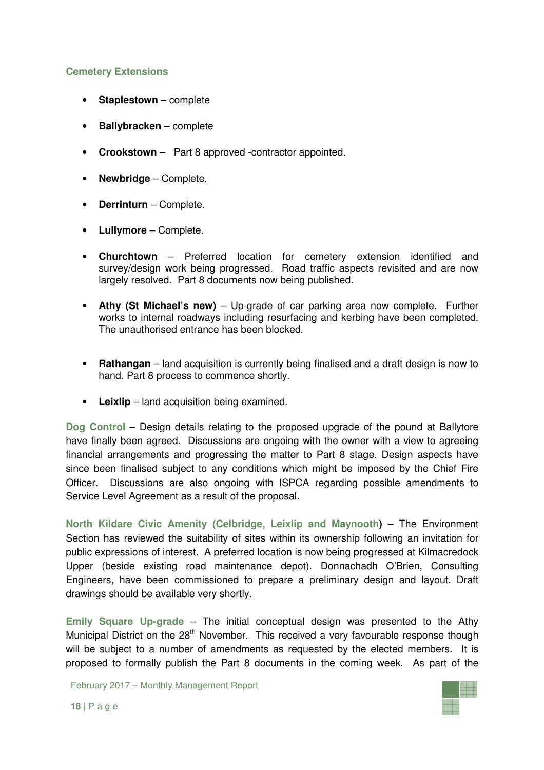### **Cemetery Extensions**

- **Staplestown –** complete
- **Ballybracken** complete
- **Crookstown**  Part 8 approved -contractor appointed.
- **Newbridge**  Complete.
- **Derrinturn** Complete.
- **Lullymore** Complete.
- **Churchtown** Preferred location for cemetery extension identified and survey/design work being progressed. Road traffic aspects revisited and are now largely resolved. Part 8 documents now being published.
- **Athy (St Michael's new)** Up-grade of car parking area now complete. Further works to internal roadways including resurfacing and kerbing have been completed. The unauthorised entrance has been blocked.
- **Rathangan** land acquisition is currently being finalised and a draft design is now to hand. Part 8 process to commence shortly.
- **Leixlip** land acquisition being examined.

**Dog Control** – Design details relating to the proposed upgrade of the pound at Ballytore have finally been agreed. Discussions are ongoing with the owner with a view to agreeing financial arrangements and progressing the matter to Part 8 stage. Design aspects have since been finalised subject to any conditions which might be imposed by the Chief Fire Officer. Discussions are also ongoing with ISPCA regarding possible amendments to Service Level Agreement as a result of the proposal.

**North Kildare Civic Amenity (Celbridge, Leixlip and Maynooth)** – The Environment Section has reviewed the suitability of sites within its ownership following an invitation for public expressions of interest. A preferred location is now being progressed at Kilmacredock Upper (beside existing road maintenance depot). Donnachadh O'Brien, Consulting Engineers, have been commissioned to prepare a preliminary design and layout. Draft drawings should be available very shortly.

**Emily Square Up-grade** – The initial conceptual design was presented to the Athy Municipal District on the 28<sup>th</sup> November. This received a very favourable response though will be subject to a number of amendments as requested by the elected members. It is proposed to formally publish the Part 8 documents in the coming week. As part of the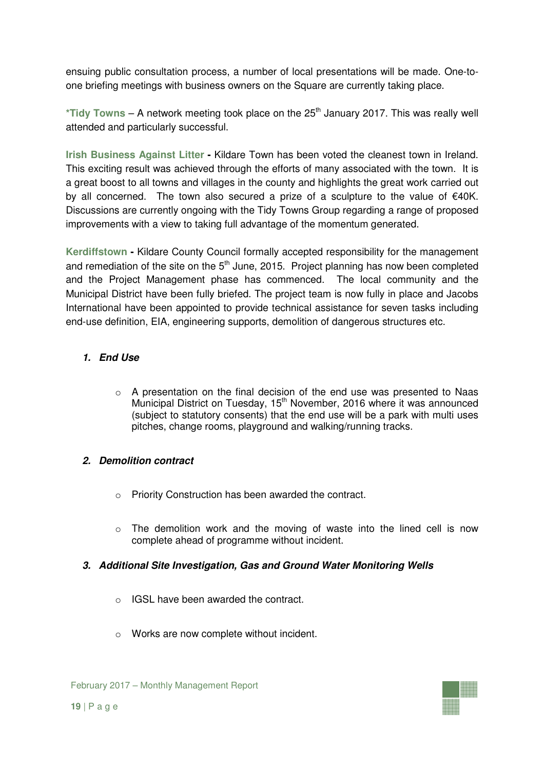ensuing public consultation process, a number of local presentations will be made. One-toone briefing meetings with business owners on the Square are currently taking place.

\*Tidy Towns – A network meeting took place on the 25<sup>th</sup> January 2017. This was really well attended and particularly successful.

**Irish Business Against Litter -** Kildare Town has been voted the cleanest town in Ireland. This exciting result was achieved through the efforts of many associated with the town. It is a great boost to all towns and villages in the county and highlights the great work carried out by all concerned. The town also secured a prize of a sculpture to the value of €40K. Discussions are currently ongoing with the Tidy Towns Group regarding a range of proposed improvements with a view to taking full advantage of the momentum generated.

**Kerdiffstown -** Kildare County Council formally accepted responsibility for the management and remediation of the site on the  $5<sup>th</sup>$  June, 2015. Project planning has now been completed and the Project Management phase has commenced. The local community and the Municipal District have been fully briefed. The project team is now fully in place and Jacobs International have been appointed to provide technical assistance for seven tasks including end-use definition, EIA, engineering supports, demolition of dangerous structures etc.

# **1. End Use**

o A presentation on the final decision of the end use was presented to Naas Municipal District on Tuesday,  $15<sup>th</sup>$  November, 2016 where it was announced (subject to statutory consents) that the end use will be a park with multi uses pitches, change rooms, playground and walking/running tracks.

# **2. Demolition contract**

- o Priority Construction has been awarded the contract.
- $\circ$  The demolition work and the moving of waste into the lined cell is now complete ahead of programme without incident.

# **3. Additional Site Investigation, Gas and Ground Water Monitoring Wells**

- o IGSL have been awarded the contract.
- o Works are now complete without incident.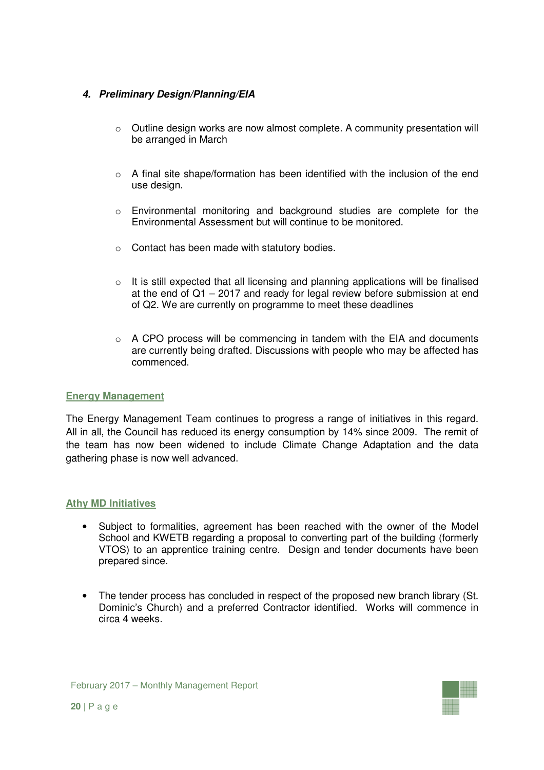# **4. Preliminary Design/Planning/EIA**

- o Outline design works are now almost complete. A community presentation will be arranged in March
- o A final site shape/formation has been identified with the inclusion of the end use design.
- o Environmental monitoring and background studies are complete for the Environmental Assessment but will continue to be monitored.
- o Contact has been made with statutory bodies.
- o It is still expected that all licensing and planning applications will be finalised at the end of Q1 – 2017 and ready for legal review before submission at end of Q2. We are currently on programme to meet these deadlines
- $\circ$  A CPO process will be commencing in tandem with the EIA and documents are currently being drafted. Discussions with people who may be affected has commenced.

### **Energy Management**

The Energy Management Team continues to progress a range of initiatives in this regard. All in all, the Council has reduced its energy consumption by 14% since 2009. The remit of the team has now been widened to include Climate Change Adaptation and the data gathering phase is now well advanced.

### **Athy MD Initiatives**

- Subject to formalities, agreement has been reached with the owner of the Model School and KWETB regarding a proposal to converting part of the building (formerly VTOS) to an apprentice training centre. Design and tender documents have been prepared since.
- The tender process has concluded in respect of the proposed new branch library (St. Dominic's Church) and a preferred Contractor identified. Works will commence in circa 4 weeks.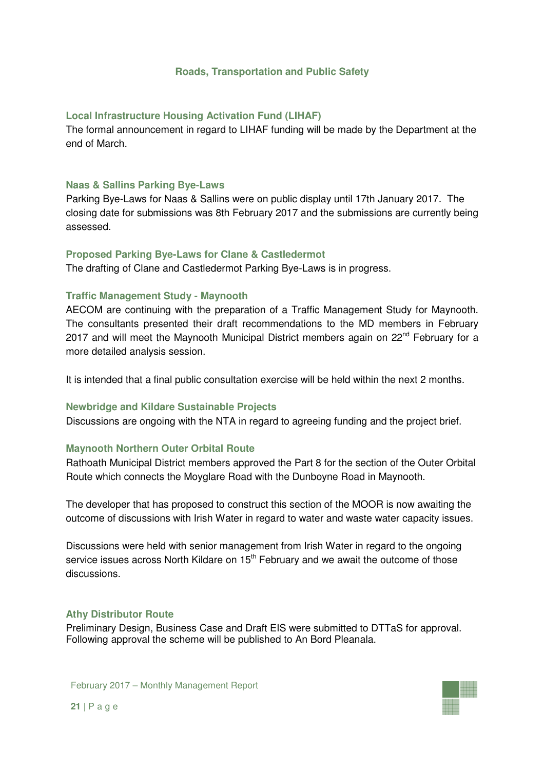### **Roads, Transportation and Public Safety**

### **Local Infrastructure Housing Activation Fund (LIHAF)**

The formal announcement in regard to LIHAF funding will be made by the Department at the end of March.

### **Naas & Sallins Parking Bye-Laws**

Parking Bye-Laws for Naas & Sallins were on public display until 17th January 2017. The closing date for submissions was 8th February 2017 and the submissions are currently being assessed.

### **Proposed Parking Bye-Laws for Clane & Castledermot**

The drafting of Clane and Castledermot Parking Bye-Laws is in progress.

# **Traffic Management Study - Maynooth**

AECOM are continuing with the preparation of a Traffic Management Study for Maynooth. The consultants presented their draft recommendations to the MD members in February 2017 and will meet the Maynooth Municipal District members again on 22<sup>nd</sup> February for a more detailed analysis session.

It is intended that a final public consultation exercise will be held within the next 2 months.

### **Newbridge and Kildare Sustainable Projects**

Discussions are ongoing with the NTA in regard to agreeing funding and the project brief.

# **Maynooth Northern Outer Orbital Route**

Rathoath Municipal District members approved the Part 8 for the section of the Outer Orbital Route which connects the Moyglare Road with the Dunboyne Road in Maynooth.

The developer that has proposed to construct this section of the MOOR is now awaiting the outcome of discussions with Irish Water in regard to water and waste water capacity issues.

Discussions were held with senior management from Irish Water in regard to the ongoing service issues across North Kildare on 15<sup>th</sup> February and we await the outcome of those discussions.

### **Athy Distributor Route**

Preliminary Design, Business Case and Draft EIS were submitted to DTTaS for approval. Following approval the scheme will be published to An Bord Pleanala.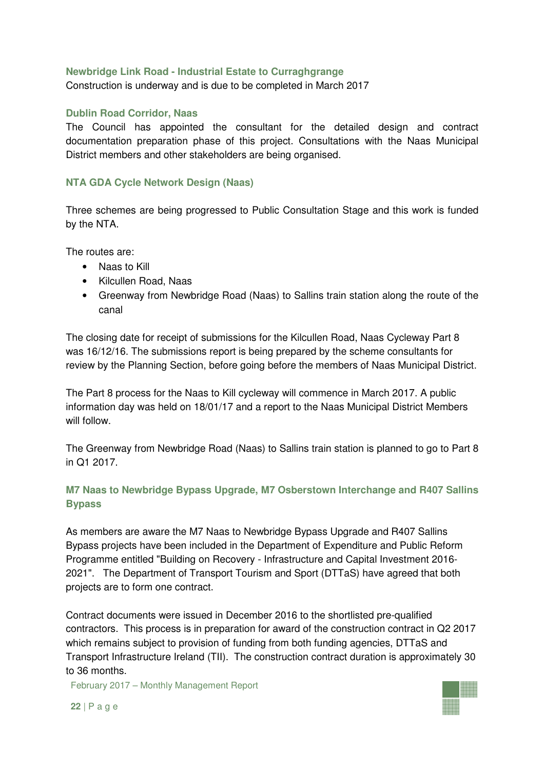### **Newbridge Link Road - Industrial Estate to Curraghgrange**

Construction is underway and is due to be completed in March 2017

### **Dublin Road Corridor, Naas**

The Council has appointed the consultant for the detailed design and contract documentation preparation phase of this project. Consultations with the Naas Municipal District members and other stakeholders are being organised.

### **NTA GDA Cycle Network Design (Naas)**

Three schemes are being progressed to Public Consultation Stage and this work is funded by the NTA.

The routes are:

- Naas to Kill
- Kilcullen Road, Naas
- Greenway from Newbridge Road (Naas) to Sallins train station along the route of the canal

The closing date for receipt of submissions for the Kilcullen Road, Naas Cycleway Part 8 was 16/12/16. The submissions report is being prepared by the scheme consultants for review by the Planning Section, before going before the members of Naas Municipal District.

The Part 8 process for the Naas to Kill cycleway will commence in March 2017. A public information day was held on 18/01/17 and a report to the Naas Municipal District Members will follow.

The Greenway from Newbridge Road (Naas) to Sallins train station is planned to go to Part 8 in Q1 2017.

# **M7 Naas to Newbridge Bypass Upgrade, M7 Osberstown Interchange and R407 Sallins Bypass**

As members are aware the M7 Naas to Newbridge Bypass Upgrade and R407 Sallins Bypass projects have been included in the Department of Expenditure and Public Reform Programme entitled "Building on Recovery - Infrastructure and Capital Investment 2016- 2021". The Department of Transport Tourism and Sport (DTTaS) have agreed that both projects are to form one contract.

Contract documents were issued in December 2016 to the shortlisted pre-qualified contractors. This process is in preparation for award of the construction contract in Q2 2017 which remains subject to provision of funding from both funding agencies, DTTaS and Transport Infrastructure Ireland (TII). The construction contract duration is approximately 30 to 36 months.

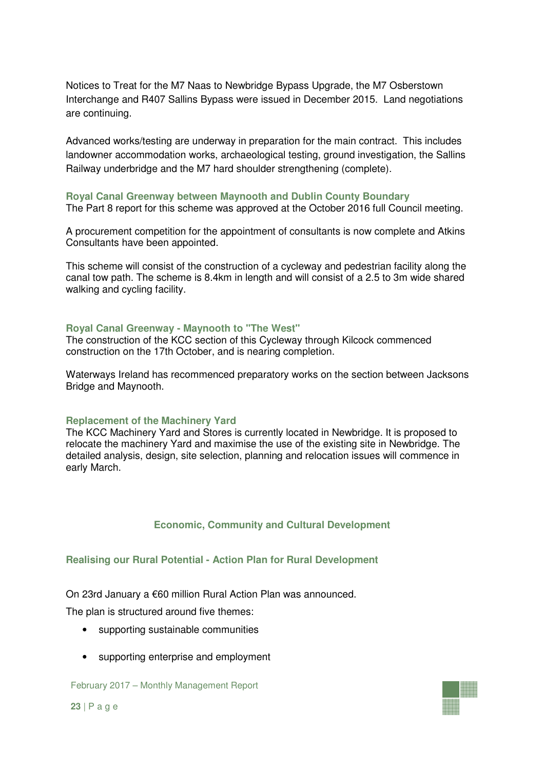Notices to Treat for the M7 Naas to Newbridge Bypass Upgrade, the M7 Osberstown Interchange and R407 Sallins Bypass were issued in December 2015. Land negotiations are continuing.

Advanced works/testing are underway in preparation for the main contract. This includes landowner accommodation works, archaeological testing, ground investigation, the Sallins Railway underbridge and the M7 hard shoulder strengthening (complete).

#### **Royal Canal Greenway between Maynooth and Dublin County Boundary**

The Part 8 report for this scheme was approved at the October 2016 full Council meeting.

A procurement competition for the appointment of consultants is now complete and Atkins Consultants have been appointed.

This scheme will consist of the construction of a cycleway and pedestrian facility along the canal tow path. The scheme is 8.4km in length and will consist of a 2.5 to 3m wide shared walking and cycling facility.

#### **Royal Canal Greenway - Maynooth to "The West"**

The construction of the KCC section of this Cycleway through Kilcock commenced construction on the 17th October, and is nearing completion.

Waterways Ireland has recommenced preparatory works on the section between Jacksons Bridge and Maynooth.

#### **Replacement of the Machinery Yard**

The KCC Machinery Yard and Stores is currently located in Newbridge. It is proposed to relocate the machinery Yard and maximise the use of the existing site in Newbridge. The detailed analysis, design, site selection, planning and relocation issues will commence in early March.

### **Economic, Community and Cultural Development**

#### **Realising our Rural Potential - Action Plan for Rural Development**

On 23rd January a €60 million Rural Action Plan was announced.

The plan is structured around five themes:

- supporting sustainable communities
- supporting enterprise and employment